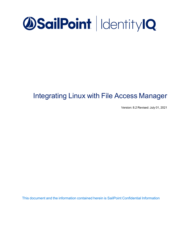

# Integrating Linux with File Access Manager

Version: 8.2 Revised: July 01, 2021

This document and the information contained herein is SailPoint Confidential Information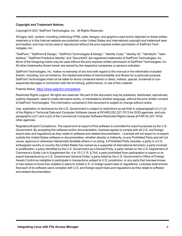#### **Copyright and Trademark Notices.**

Copyright © 2021 SailPoint Technologies, Inc. All Rights Reserved.

All logos, text, content, including underlying HTML code, designs, and graphics used and/or depicted on these written materials or in this Internet website are protected under United States and international copyright and trademark laws and treaties, and may not be used or reproduced without the prior express written permission of SailPoint Technologies, Inc.

"SailPoint," "SailPoint & Design," "SailPoint Technologies & Design," "Identity Cube," "Identity IQ," "IdentityAI," "IdentityNow," "SailPoint Predictive Identity" and "SecurityIQ" are registered trademarks of SailPoint Technologies, Inc. None of the foregoing marks may be used without the prior express written permission of SailPoint Technologies, Inc. All other trademarks shown herein are owned by the respective companies or persons indicated.

SailPoint Technologies, Inc. makes no warranty of any kind with regard to this manual or the information included therein, including, but not limited to, the implied warranties of merchantability and fitness for a particular purpose. SailPoint Technologies shall not be liable for errors contained herein or direct, indirect, special, incidental or consequential damages in connection with the furnishing, performance, or use of this material.

#### Patents Notice. <https://www.sailpoint.com/patents>

Restricted Rights Legend. All rights are reserved. No part of this document may be published, distributed, reproduced, publicly displayed, used to create derivative works, or translated to another language, without the prior written consent of SailPoint Technologies. The information contained in this document is subject to change without notice.

Use, duplication or disclosure by the U.S. Government is subject to restrictions as set forth in subparagraph (c) (1) (ii) of the Rights in Technical Data and Computer Software clause at DFARS 252.227-7013 for DOD agencies, and subparagraphs (c)(1) and (c)(2) of the Commercial Computer Software Restricted Rights clause at FAR 52.227-19 for other agencies.

Regulatory/Export Compliance. The export and re-export of this software is controlled for export purposes by the U.S. Government. By accepting this software and/or documentation, licensee agrees to comply with all U.S. and foreign export laws and regulations as they relate to software and related documentation. Licensee will not export or re-export outside the United States software or documentation, whether directly or indirectly, to any Prohibited Party and will not cause, approve or otherwise intentionally facilitate others in so doing. A Prohibited Party includes: a party in a U.S. embargoed country or country the United States has named as a supporter of international terrorism; a party involved in proliferation; a party identified by the U.S. Government as a Denied Party; a party named on the U.S. Department of Commerce's Entity List in Supplement No. 4 to 15 C.F.R. § 744; a party prohibited from participation in export or reexport transactions by a U.S. Government General Order; a party listed by the U.S. Government's Office of Foreign Assets Control as ineligible to participate in transactions subject to U.S. jurisdiction; or any party that licensee knows or has reason to know has violated or plans to violate U.S. or foreign export laws or regulations. Licensee shall ensure that each of its software users complies with U.S. and foreign export laws and regulations as they relate to software and related documentation.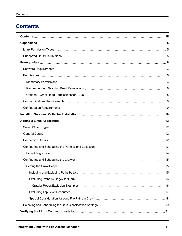## <span id="page-2-0"></span>**Contents**

| Adding a Linux Application manufactured and the control of the control of the control of the control of the control of the control of the control of the control of the control of the control of the control of the control o |  |
|--------------------------------------------------------------------------------------------------------------------------------------------------------------------------------------------------------------------------------|--|
|                                                                                                                                                                                                                                |  |
|                                                                                                                                                                                                                                |  |
|                                                                                                                                                                                                                                |  |
|                                                                                                                                                                                                                                |  |
|                                                                                                                                                                                                                                |  |
|                                                                                                                                                                                                                                |  |
| . 15                                                                                                                                                                                                                           |  |
|                                                                                                                                                                                                                                |  |
|                                                                                                                                                                                                                                |  |
|                                                                                                                                                                                                                                |  |
|                                                                                                                                                                                                                                |  |
|                                                                                                                                                                                                                                |  |
|                                                                                                                                                                                                                                |  |
|                                                                                                                                                                                                                                |  |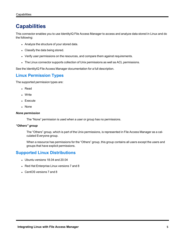## <span id="page-4-0"></span>**Capabilities**

This connector enables you to use IdentityIQ File Access Manager to access and analyze data stored in Linux and do the following:

- Analyze the structure of your stored data.
- Classify the data being stored.
- Verify user permissions on the resources, and compare them against requirements.
- The Linux connector supports collection of Unix permissions as well as ACL permissions.

<span id="page-4-1"></span>See the IdentityIQ File Access Manager documentation for a full description.

## **Linux Permission Types**

The supported permission types are:

- Read
- Write
- Execute
- None

#### *None permission*

The "None" permission is used when a user or group has no permissions.

#### *"Others" group*

The "Others" group, which is part of the Unix permissions, is represented in File Access Manager as a calculated Everyone group.

When a resource has permissions for the "Others" group, this group contains all users except the users and groups that have explicit permissions.

## <span id="page-4-2"></span>**Supported Linux Distributions**

- Ubuntu versions  $18.04$  and  $20.04$
- Red Hat Enterprise Linux versions 7 and 8
- CentOS versions 7 and 8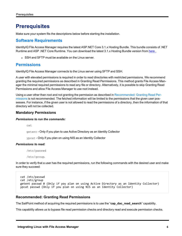## <span id="page-5-0"></span>**Prerequisites**

<span id="page-5-1"></span>Make sure your system fits the descriptions below before starting the installation.

## **Software Requirements**

IdentityIQ File Access Manager requires the latest ASP.NET Core 3.1.x Hosting Bundle. This bundle consists of .NET Runtime and ASP .NET Core Runtime. You can download the latest 3.1.x Hosting Bundle version from [here](https://dotnet.microsoft.com/download/dotnet/3.1).

• SSH and SFTP must be available on the Linux server.

## <span id="page-5-2"></span>**Permissions**

IdentityIQ File Access Manager connects to the Linux server using SFTP and SSH.

A user with elevated permissions is required in order to read directories with restricted permissions. We recommend granting the required permissions as described in Granting Read Permissions. This method grants File Access Manager the minimal required permissions to read any file or directory. Alternatively, it is possible to skip Granting Read Permissions and allow File Access Manager to use root instead.

Using a user other than root and not granting the permission as described in [Recommended:](#page-5-4) Granting Read Per[missions](#page-5-4) is not recommended. The fetched information will be limited to the permissions that the given user possesses. For instance, if the given user is not allowed to read the permissions of a directory, then the information of that directory will not be collected.

#### <span id="page-5-3"></span>**Mandatory Permissions**

#### *Permissions to run the commands:*

cat

getent - Only if you plan to use Active Directory as an Identity Collector

ypcat - Only if you plan on using NIS as an Identity Collector

#### *Permissions to read:*

/etc/passwd

/etc/group.

In order to verify that a user has the required permissions, run the following commands with the desired user and make sure they succeed:

```
cat /etc/passwd 
cat /etc/group
getent passwd 0 (Only if you plan on using Active Directory as an Identity Collector)
ypcat passwd (Only if you plan on using NIS as an Identity Collector)
```
#### <span id="page-5-4"></span>**Recommended: Granting Read Permissions**

The SailPoint method of acquiring the required permissions is to use the "**cap\_dac\_read\_search**" capability.

This capability allows us to bypass file read permission checks and directory read and execute permission checks.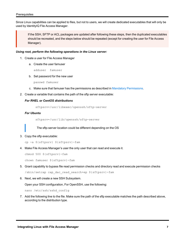Since Linux capabilities can be applied to files, but not to users, we will create dedicated executables that will only be used by IdentityIQ File Access Manager.

If the SSH, SFTP or ACL packages are updated after following these steps, then the duplicated executables should be recreated, and the steps below should be repeated (except for creating the user for File Access Manager).

#### *Using root, perform the following operations in the Linux server:*

- 1. Create a user for File Access Manager
	- a. Create the user famuser
		- adduser famuser
	- b. Set password for the new user

passwd famuser

- c. Make sure that famuser has the permissions as described in Mandatory [Permissions](#page-5-3).
- 2. Create a variable that contains the path of the sftp server executable:

#### *For RHEL or CentOS distributions*

sftpsrv=/usr/libexec/openssh/sftp-server

#### *For Ubuntu*

sftpsrv=/usr/lib/openssh/sftp-server

The sftp-server location could be different depending on the OS

3. Copy the sftp executable:

cp -a \${sftpsrv} \${sftpsrv}-fam

4. Make File Access Manager's user the only user that can read and execute it.

chmod 500 \${sftpsrv}-fam

chown famuser \${sftpsrv}-fam

5. Grant capability to bypass file read permission checks and directory read and execute permission checks

/sbin/setcap cap\_dac\_read\_search+ep \${sftpsrv}-fam

6. Next, we will create a new SSH Subsystem.

Open your SSH configuration, For OpenSSH, use the following:

nano /etc/ssh/sshd\_config

7. Add the following line to the file. Make sure the path of the sftp executable matches the path described above, according to the distribution type.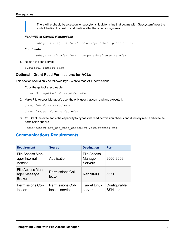There will probably be a section for subsytems, look for a line that begins with "Subsystem" near the end of the file. it is best to add the line after the other subsystems.

#### *For RHEL or CentOS distributions*

Subsystem sftp-fam /usr/libexec/openssh/sftp-server-fam

#### *For Ubuntu*

Subsystem sftp-fam /usr/lib/openssh/sftp-server-fam

8. Restart the ssh service:

systemctl restart sshd

#### <span id="page-7-0"></span>**Optional - Grant Read Permissions for ACLs**

This section should only be followed if you wish to read ACL permissions.

1. Copy the getfacl executeable:

cp -a /bin/getfacl /bin/getfacl-fam

2. Make File Access Manager's user the only user that can read and execute it.

chmod 500 /bin/getfacl-fam

chown famuser /bin/getfacl-fam

3. 12. Grant the executable the capability to bypass file read permission checks and directory read and execute permission checks

/sbin/setcap cap\_dac\_read\_search+ep /bin/getfacl-fam

## <span id="page-7-1"></span>**Communications Requirements**

| <b>Requirement</b>                                | <b>Source</b>                              | <b>Destination</b>                              | <b>Port</b>              |
|---------------------------------------------------|--------------------------------------------|-------------------------------------------------|--------------------------|
| File Access Man-<br>ager Internal<br>Access       | Application                                | <b>File Access</b><br>Manager<br><b>Servers</b> | 8000-8008                |
| File Access Man-<br>ager Message<br><b>Broker</b> | <b>Permissions Col-</b><br>lector          | <b>RabbitMQ</b>                                 | 5671                     |
| <b>Permissions Col-</b><br>lection                | <b>Permissions Col-</b><br>lection service | <b>Target Linux</b><br>server                   | Configurable<br>SSH port |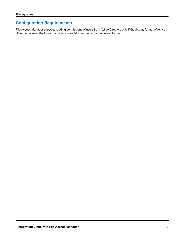## <span id="page-8-0"></span>**Configuration Requirements**

File Access Manager supports reading permissions of users from Active Directory only if the display format of Active Directory users in the Linux machine is user@domain (which is the default format).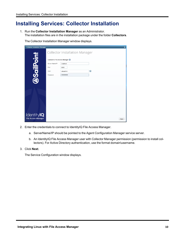## <span id="page-9-0"></span>**Installing Services: Collector Installation**

1. Run the **Collector Installation Manager** as an Administrator. The installation files are in the installation package under the folder **Collectors**.

The Collector Installation Manager window displays.

| <b>Collector Installation Manager</b> |                                |                                       |           | $\boldsymbol{\mathsf{x}}$ |
|---------------------------------------|--------------------------------|---------------------------------------|-----------|---------------------------|
|                                       |                                | <b>Collector Installation Manager</b> |           |                           |
| <b>DSailPoint</b>                     | Connect to File Access Manager |                                       |           |                           |
|                                       | Server Name/IP:                | localhost                             |           |                           |
|                                       | Port                           | 8000                                  |           |                           |
|                                       | User:                          | wbxadmin                              | $\bullet$ |                           |
|                                       | Password:                      |                                       |           |                           |
|                                       |                                |                                       |           |                           |
|                                       |                                |                                       |           |                           |
|                                       |                                |                                       |           |                           |
|                                       |                                |                                       |           |                           |
|                                       |                                |                                       |           |                           |
|                                       |                                |                                       |           |                           |
|                                       |                                |                                       |           |                           |
| Identity <b>IQ</b>                    |                                |                                       |           |                           |
| <b>File Access Manager</b>            |                                |                                       |           | Next                      |

- 2. Enter the credentials to connect to IdentityIQ File Access Manager.
	- a. ServerName/IP should be pointed to the Agent Configuration Manager service server.
	- b. An IdentityIQ File Access Manager user with Collector Manager permission (permission to install collectors). For Active Directory authentication, use the format domain\username.
- 3. Click **Next**.

The Service Configuration window displays.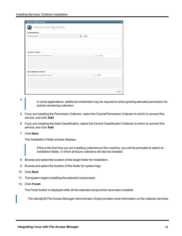| <b>Collector Installation Manager</b>                  | ×                               |
|--------------------------------------------------------|---------------------------------|
| Service Configuration                                  |                                 |
| <b>Activity Monitoring</b>                             |                                 |
| Select Application:<br>Add<br>$\overline{\phantom{a}}$ |                                 |
|                                                        |                                 |
|                                                        |                                 |
|                                                        |                                 |
|                                                        |                                 |
| <b>Permission Collector</b>                            |                                 |
| Select Central Permission Collection service:          | Add<br>$\mathbf{v}$             |
|                                                        |                                 |
|                                                        |                                 |
|                                                        |                                 |
|                                                        |                                 |
| <b>Data Classification Collector</b>                   |                                 |
| Select Central Data Classification service:            | $\overline{\phantom{a}}$<br>Add |
|                                                        |                                 |
|                                                        |                                 |
|                                                        |                                 |
|                                                        |                                 |
|                                                        | Next                            |

4.

In some applications, additional credentials may be required to allow granting elevated permission for activity monitoring collection.

- 5. If you are installing the Permission Collector, select the Central Permission Collector to which to connect this service, and click **Add**
- 6. If you are installing the Data Classification, select the Central Classification Collector to which to connect this service, and click **Add**
- 7. Click **Next**.

The Installation Folder window displays.

If this is the first time you are installing collectors on this machine, you will be prompted to select an installation folder, in which all future collectors will also be installed.

- 8. Browse and select the location of the target folder for installation.
- 9. Browse and select the location of the folder for system logs.
- 10. Click **Next**.
- 11. The system begins installing the selected components.
- 12. Click **Finish**

The Finish button is displayed after all the selected components have been installed.

The *IdentityIQ File Access Manager Administrator Guide* provides more information on the collector services.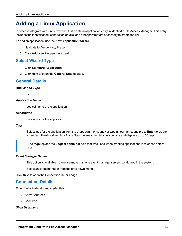## <span id="page-11-0"></span>**Adding a Linux Application**

In order to integrate with Linux, we must first create an application entry in IdentityIQ File Access Manager. This entry includes the identification, connection details, and other parameters necessary to create the link.

To add an application, use the **New Application Wizard**.

- 1. Navigate to *Admin > Applications*
- <span id="page-11-1"></span>2. Click **Add New** to open the wizard.

## **Select Wizard Type**

- 1. Click **Standard Application**
- <span id="page-11-2"></span>2. Click **Next** to open the **General Details** page.

### **General Details**

#### *Application Type*

Linux

#### *Application Name*

Logical name of the application

#### *Description*

Description of the application

#### *Tags*

Select tags for the application from the dropdown menu, and / or type a new name, and press **Enter** to create a new tag. The dropdown list of tags filters out matching tags as you type and displays up to 50 tags.

The **tags** replace the **Logical container** field that was used when creating applications in releases before 8.2

#### *Event Manager Server*

This option is available if there are more than one event manager servers configured in the system.

Select an event manager from the drop down menu

<span id="page-11-3"></span>Click **Next** to open the Connection Details page.

## **Connection Details**

Enter the login details and credentials

- Server Address
- Shell Port

#### *Shell Username*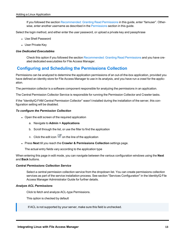If you followed the section [Recommended:](#page-5-4) Granting Read Permissions in this guide, enter "famuser". Otherwise, enter another username as described in the [Permissions](#page-5-2) section in this guide.

Select the login method, and either enter the user password, or upload a private key and passphrase

- <sup>l</sup> Use Shell Password
- User Private Key

#### *Use Dedicated Executables*

Check this option if you followed the section [Recommended:](#page-5-4) Granting Read Permissions and you have created dedicated executables for File Access Manager.

## <span id="page-12-0"></span>**Configuring and Scheduling the Permissions Collection**

Permissions can be analyzed to determine the application permissions of an out-of-the-box application, provided you have defined an identity store for File Access Manager to use in its analysis, and you have run a crawl for the application.

The permission collector is a software component responsible for analyzing the permissions in an application.

The Central Permission Collector Service is responsible for running the Permission Collector and Crawler tasks.

If the "IdentityIQ FAM Central Permission Collector" wasn't installed during the installation of the server, this configuration setting will be disabled.

#### *To configure the Permission Collection*

- Open the edit screen of the required application
	- a. Navigate to **Admin > Applications**
	- b. Scroll through the list, or use the filter to find the application
	- c. Click the edit icon  $\mathbb Z$  on the line of the application
- <sup>l</sup> Press **Next** till you reach the **Crawler & Permissions Collection** settings page.

The actual entry fields vary according to the application type

When entering this page in edit mode, you can navigate between the various configuration windows using the **Next** and **Back** buttons.

#### *Central Permissions Collection Service*

Select a central permission collection service from the dropdown list. You can create permissions collection services as part of the service installation process. See section "Services Configuration" in the IdentityIQ File Access Manager Administrator Guide for further details.

#### *Analyze ACL Permissions*

Click to fetch and analyze ACL-type Permissions.

This option is checked by default

If ACL is not supported by your server, make sure this field is unchecked.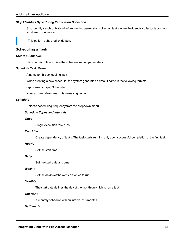#### *Skip Identities Sync during Permission Collection*

Skip identity synchronization before running permission collection tasks when the identity collector is common to different connectors.

This option is checked by default.

#### <span id="page-13-0"></span>**Scheduling a Task**

#### *Create a Schedule*

Click on this option to view the schedule setting parameters.

#### *Schedule Task Name*

A name for this scheduling task

When creating a new schedule, the system generates a default name in the following format:

{appName} - {type} Scheduler

You can override or keep this name suggestion.

#### *Schedule*

Select a scheduling frequency from the dropdown menu.

#### <sup>l</sup> *Schedule Types and Intervals*

#### *Once*

Single execution task runs.

#### *Run After*

Create dependency of tasks. The task starts running only upon successful completion of the first task.

#### *Hourly*

Set the start time.

#### *Daily*

Set the start date and time.

#### *Weekly*

Set the day(s) of the week on which to run.

#### *Monthly*

The start date defines the day of the month on which to run a task.

#### *Quarterly*

A monthly schedule with an interval of 3 months.

#### *Half Yearly*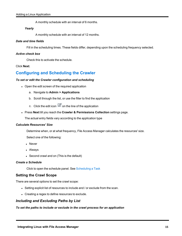A monthly schedule with an interval of 6 months.

#### *Yearly*

A monthly schedule with an interval of 12 months.

#### *Date and time fields*

Fill in the scheduling times. These fields differ, depending upon the scheduling frequency selected.

#### *Active check box*

Check this to activate the schedule.

#### <span id="page-14-0"></span>Click **Next**.

## **Configuring and Scheduling the Crawler**

#### *To set or edit the Crawler configuration and scheduling*

- Open the edit screen of the required application
	- a. Navigate to **Admin > Applications**
	- b. Scroll through the list, or use the filter to find the application
	- c. Click the edit icon  $\mathbb Z$  on the line of the application
- <sup>l</sup> Press **Next** till you reach the **Crawler & Permissions Collection** settings page.

The actual entry fields vary according to the application type

#### *Calculate Resources' Size*

Determine when, or at what frequency, File Access Manager calculates the resources' size.

Select one of the following:

- Never
- Always
- Second crawl and on (This is the default)

#### *Create a Schedule*

Click to open the schedule panel. See [Scheduling](#page-13-0) a Task

### <span id="page-14-1"></span>**Setting the Crawl Scope**

There are several options to set the crawl scope:

- Setting explicit list of resources to include and / or exclude from the scan.
- Creating a regex to define resources to exclude.

### <span id="page-14-2"></span>*Including and Excluding Paths by List*

*To set the paths to include or exclude in the crawl process for an application*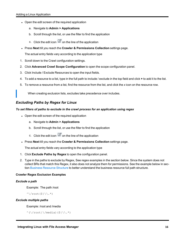- Open the edit screen of the required application
	- a. Navigate to **Admin > Applications**
	- b. Scroll through the list, or use the filter to find the application
	- c. Click the edit icon  $\mathbb Z$  on the line of the application
- <sup>l</sup> Press **Next** till you reach the **Crawler & Permissions Collection** settings page.

The actual entry fields vary according to the application type

- 1. Scroll down to the Crawl configuration settings.
- 2. Click **Advanced Crawl Scope Configuration** to open the scope configuration panel.
- 3. Click Include / Exclude Resources to open the input fields.
- 4. To add a resource to a list, type in the full path to include / exclude in the top field and click **+** to add it to the list.
- 5. To remove a resource from a list, find the resource from the list, and click the *x* icon on the resource row.

When creating exclusion lists, excludes take precedence over includes.

### <span id="page-15-0"></span>*Excluding Paths by Regex for Linux*

#### *To set filters of paths to exclude in the crawl process for an application using regex*

- Open the edit screen of the required application
	- a. Navigate to **Admin > Applications**
	- b. Scroll through the list, or use the filter to find the application
	- c. Click the edit icon  $\mathbb Z$  on the line of the application
- <sup>l</sup> Press **Next** till you reach the **Crawler & Permissions Collection** settings page.

The actual entry fields vary according to the application type

- 1. Click **Exclude Paths by Regex** to open the configuration panel.
- 2. Type in the paths to exclude by Regex, See regex examples in the section below. Since the system does not collect BRs that match this Regex, it also does not analyze them for permissions. See the example below in section Business [Resource](../../../../../../Content/Admin_Guide/BusinessResourceStruct.htm) Structure to better understand the business resource full path structure.

#### <span id="page-15-1"></span>**Crawler Regex Exclusion Examples**

#### *Exclude a path*

Example: The path /root

 $\wedge$ /root(\$|\\.\*)

#### *Exclude multiple paths*

#### Example: /root and /media

 $\hat{\wedge}(\{\gamma\} \times \mathcal{L})$  / media)(\$|\\.\*)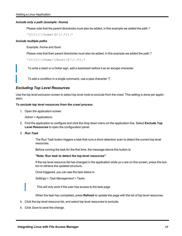#### *Include only a path (example: /home)*

Please note that the parent directories must also be added, in this example we added the path '/'

 $\hat{O}(?!(\sqrt{|\n\sqrt{\hbox{home}}})(\$|\sqrt{2.7})$ .\*

#### *Include multiple paths*

Example: /home and /boot

Please note that their parent directories must also be added, in this example we added the path '/'

```
^{\wedge}(?!(\/|\/home|\/boot)($|\/.*)).*
```
To write a slash or a Dollar sign, add a backslash before it as an escape character.

To add a condition in a single command, use a pipe character "|" .

#### <span id="page-16-0"></span>*Excluding Top Level Resources*

Use the top level exclusion screen to select top level roots to exclude from the crawl. This setting is done per application.

#### *To exclude top level resources from the crawl process*

1. Open the application screen

#### *Admin > Applications*

- 2. Find the application to configure and click the drop down menu on the application line. Select **Exclude Top Level Resources** to open the configuration panel.
- 3. *Run Task*

The Run Task button triggers a task that runs a short detection scan to detect the current top level resources.

Before running the task for the first time, the message above this button is:

#### **"Note: Run task to detect the top-level resources"**

If the top level resource list has changed in the application while yo u are on this screen, press this button to retrieve the updated structure.

Once triggered, you can see the task status in

*Settings > Task Management > Tasks*

This will only work if the user has access to the task page

When the task has completed, press **Refresh** to update the page with the list of top level resources.

- 4. Click the top level resource list, and select top level resources to exclude.
- 5. Click *Save* to save the change.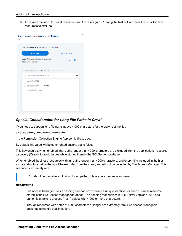6. To refresh the list of top level resources, run the task again. Running the task will not clear the list of top level resources to exclude.

| Note: Refresh the list to view recently<br>discovered resources |                       |
|-----------------------------------------------------------------|-----------------------|
|                                                                 | Refresh $\mathcal{C}$ |
| Top Level Resources Exclusion List 0 Selected   Clear Selection |                       |
| Top Level Resources Exclusion List                              | ᄉ                     |
| $\sqrt{s}$ 5\C\$                                                |                       |
| \\si 5\MSSQLSERVER                                              |                       |
| \\si 5\print\$                                                  |                       |

### <span id="page-17-0"></span>*Special Consideration for Long File Paths in Crawl*

If you need to support long file paths above 4,000 characters for the crawl, set the flag

#### **excludeVeryLongResourcePaths**

in the Permission Collection Engine App.config file to true.

By default this value will be commented out and set to false.

This key ensures, when enabled, that paths longer than 4000 characters are excluded from the applications' resource discovery (Crawl), to avoid issues while storing them in the SQLServer database.

When enabled, business resources with full paths longer than 4000 characters, and everything included in the hierarchical structure below them, will be excluded from the crawl, and will not be collected by File Access Manager. This scenario is extremely rare.

You should not enable exclusion of long paths, unless you experience an issue.

#### *Background*

File Access Manager uses a hashing mechanism to create a unique identifier for each business resource stored in the File Access Manager database. The hashing mechanism in SQLServer versions 2014 and earlier, is unable to process (hash) values with 4,000 or more characters.

Though resources with paths of 4000 characters or longer are extremely rare, File Access Manager is designed to handle that limitation.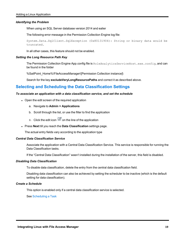#### *Identifying the Problem*

When using an SQL Server database version 2014 and ealier

The following error message in the Permission Collection Engine log file:

System.Data.SqlClient.SqlException (0x80131904): String or binary data would be truncated.

In all other cases, this feature should not be enabled.

#### *Setting the Long Resource Path Key*

The Permission Collection Engine App.config file is RoleAnalyticsServiceHost.exe.config, and can be found in the folder

%SailPoint\_Home%\FileAccessManager\[Permission Collection instance]\

Search for the key **excludeVeryLongResourcePaths** and correct it as described above.

### <span id="page-18-0"></span>**Selecting and Scheduling the Data Classification Settings**

#### *To associate an application with a data classification service, and set the schedule*

- Open the edit screen of the required application
	- a. Navigate to **Admin > Applications**
	- b. Scroll through the list, or use the filter to find the application
	- c. Click the edit icon  $\mathbb Z$  on the line of the application
- <sup>l</sup> Press **Next** till you reach the **Data Classification** settings page.

The actual entry fields vary according to the application type

#### *Central Data Classification Service*

Associate the application with a Central Data Classification Service. This service is responsible for running the Data Classification tasks.

If the "Central Data Classification" wasn't installed during the installation of the server, this field is disabled.

#### *Disabling Data Classification*

To disable data classification, delete the entry from the central data classification field.

Disabling data classification can also be achieved by setting the scheduler to be inactive (which is the default setting for data classification).

#### *Create a Schedule*

This option is enabled only if a central data classification service is selected.

See [Scheduling](#page-13-0) a Task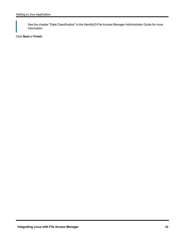See the chapter "Data Classification" in the IdentityIQ File Access Manager Administrator Guide for more information

Click **Next** or **Finish**.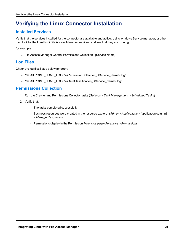## <span id="page-20-1"></span><span id="page-20-0"></span>**Verifying the Linux Connector Installation**

## **Installed Services**

Verify that the services installed for the connector are available and active. Using windows Service manager, or other tool, look for the IdentityIQ File Access Manager services, and see that they are running.

for example:

• File Access Manager Central Permissions Collection - [Service Name]

## <span id="page-20-2"></span>**Log Files**

Check the log files listed below for errors

- <sup>l</sup> "%SAILPOINT\_HOME\_LOGS%\PermissionCollection\_<Service\_Name>.log"
- <sup>l</sup> "%SAILPOINT\_HOME\_LOGS%\DataClassification\_<Service\_Name>.log"

## <span id="page-20-3"></span>**Permissions Collection**

- 1. Run the Crawler and Permissions Collector tasks (*Settings > Task Management > Scheduled Tasks*)
- 2. Verify that:
	- The tasks completed successfully
	- <sup>l</sup> Business resources were created in the resource explorer (*Admin > Applications >* [application column] *> Manage Resources*)
	- <sup>l</sup> Permissions display in the Permission Forensics page (*Forensics > Permissions*)